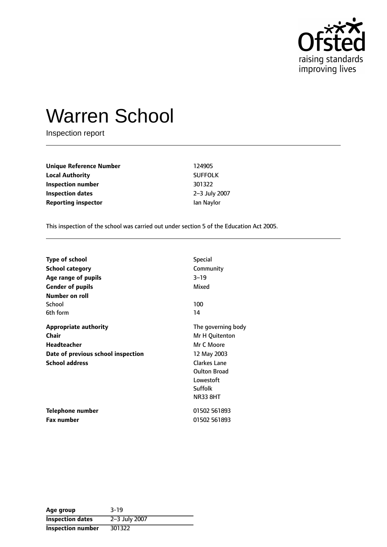

# Warren School

Inspection report

| <b>Unique Reference Number</b> | 124905         |
|--------------------------------|----------------|
| <b>Local Authority</b>         | <b>SUFFOLK</b> |
| Inspection number              | 301322         |
| <b>Inspection dates</b>        | 2-3 July 2007  |
| <b>Reporting inspector</b>     | lan Naylor     |

This inspection of the school was carried out under section 5 of the Education Act 2005.

| <b>Type of school</b>              | <b>Special</b>      |
|------------------------------------|---------------------|
| <b>School category</b>             | Community           |
| Age range of pupils                | $3 - 19$            |
| <b>Gender of pupils</b>            | Mixed               |
| <b>Number on roll</b>              |                     |
| School                             | 100                 |
| 6th form                           | 14                  |
| <b>Appropriate authority</b>       | The governing body  |
| <b>Chair</b>                       | Mr H Quitenton      |
| <b>Headteacher</b>                 | Mr C Moore          |
| Date of previous school inspection | 12 May 2003         |
| <b>School address</b>              | <b>Clarkes Lane</b> |
|                                    | <b>Oulton Broad</b> |
|                                    | Lowestoft           |
|                                    | Suffolk             |
|                                    | <b>NR33 8HT</b>     |
| <b>Telephone number</b>            | 01502 561893        |
| <b>Fax number</b>                  | 01502 561893        |

| Age group                | $3 - 19$      |
|--------------------------|---------------|
| <b>Inspection dates</b>  | 2-3 July 2007 |
| <b>Inspection number</b> | 301322        |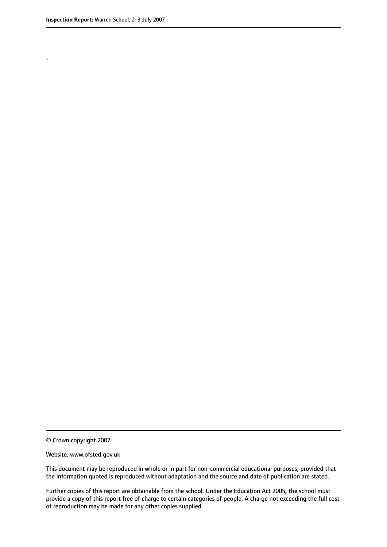.

© Crown copyright 2007

#### Website: www.ofsted.gov.uk

This document may be reproduced in whole or in part for non-commercial educational purposes, provided that the information quoted is reproduced without adaptation and the source and date of publication are stated.

Further copies of this report are obtainable from the school. Under the Education Act 2005, the school must provide a copy of this report free of charge to certain categories of people. A charge not exceeding the full cost of reproduction may be made for any other copies supplied.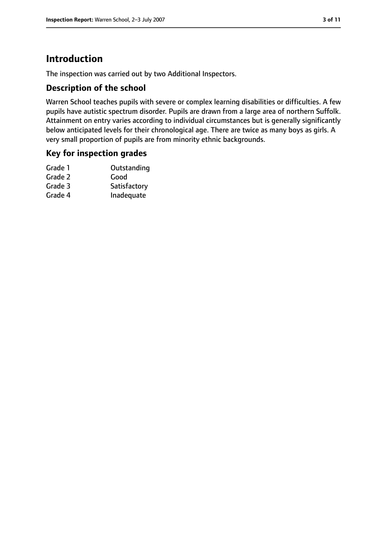# **Introduction**

The inspection was carried out by two Additional Inspectors.

## **Description of the school**

Warren School teaches pupils with severe or complex learning disabilities or difficulties. A few pupils have autistic spectrum disorder. Pupils are drawn from a large area of northern Suffolk. Attainment on entry varies according to individual circumstances but is generally significantly below anticipated levels for their chronological age. There are twice as many boys as girls. A very small proportion of pupils are from minority ethnic backgrounds.

## **Key for inspection grades**

| Outstanding  |
|--------------|
| Good         |
| Satisfactory |
| Inadequate   |
|              |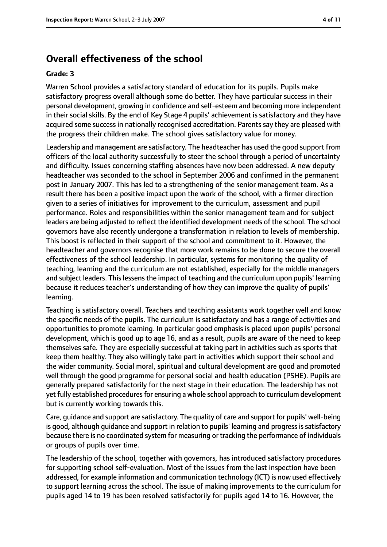## **Overall effectiveness of the school**

#### **Grade: 3**

Warren School provides a satisfactory standard of education for its pupils. Pupils make satisfactory progress overall although some do better. They have particular success in their personal development, growing in confidence and self-esteem and becoming more independent in their social skills. By the end of Key Stage 4 pupils' achievement is satisfactory and they have acquired some success in nationally recognised accreditation. Parents say they are pleased with the progress their children make. The school gives satisfactory value for money.

Leadership and management are satisfactory. The headteacher has used the good support from officers of the local authority successfully to steer the school through a period of uncertainty and difficulty. Issues concerning staffing absences have now been addressed. A new deputy headteacher was seconded to the school in September 2006 and confirmed in the permanent post in January 2007. This has led to a strengthening of the senior management team. As a result there has been a positive impact upon the work of the school, with a firmer direction given to a series of initiatives for improvement to the curriculum, assessment and pupil performance. Roles and responsibilities within the senior management team and for subject leaders are being adjusted to reflect the identified development needs of the school. The school governors have also recently undergone a transformation in relation to levels of membership. This boost is reflected in their support of the school and commitment to it. However, the headteacher and governors recognise that more work remains to be done to secure the overall effectiveness of the school leadership. In particular, systems for monitoring the quality of teaching, learning and the curriculum are not established, especially for the middle managers and subject leaders. This lessens the impact of teaching and the curriculum upon pupils' learning because it reduces teacher's understanding of how they can improve the quality of pupils' learning.

Teaching is satisfactory overall. Teachers and teaching assistants work together well and know the specific needs of the pupils. The curriculum is satisfactory and has a range of activities and opportunities to promote learning. In particular good emphasis is placed upon pupils' personal development, which is good up to age 16, and as a result, pupils are aware of the need to keep themselves safe. They are especially successful at taking part in activities such as sports that keep them healthy. They also willingly take part in activities which support their school and the wider community. Social moral, spiritual and cultural development are good and promoted well through the good programme for personal social and health education (PSHE). Pupils are generally prepared satisfactorily for the next stage in their education. The leadership has not yet fully established procedures for ensuring a whole school approach to curriculum development but is currently working towards this.

Care, guidance and support are satisfactory. The quality of care and support for pupils' well-being is good, although guidance and support in relation to pupils' learning and progressissatisfactory because there is no coordinated system for measuring or tracking the performance of individuals or groups of pupils over time.

The leadership of the school, together with governors, has introduced satisfactory procedures for supporting school self-evaluation. Most of the issues from the last inspection have been addressed, for example information and communication technology (ICT) is now used effectively to support learning across the school. The issue of making improvements to the curriculum for pupils aged 14 to 19 has been resolved satisfactorily for pupils aged 14 to 16. However, the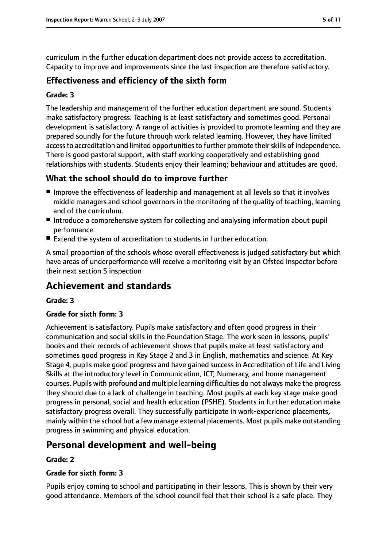curriculum in the further education department does not provide access to accreditation. Capacity to improve and improvements since the last inspection are therefore satisfactory.

### **Effectiveness and efficiency of the sixth form**

#### **Grade: 3**

The leadership and management of the further education department are sound. Students make satisfactory progress. Teaching is at least satisfactory and sometimes good. Personal development is satisfactory. A range of activities is provided to promote learning and they are prepared soundly for the future through work related learning. However, they have limited access to accreditation and limited opportunities to further promote their skills of independence. There is good pastoral support, with staff working cooperatively and establishing good relationships with students. Students enjoy their learning; behaviour and attitudes are good.

## **What the school should do to improve further**

- Improve the effectiveness of leadership and management at all levels so that it involves middle managers and school governors in the monitoring of the quality of teaching, learning and of the curriculum.
- Introduce a comprehensive system for collecting and analysing information about pupil performance.
- Extend the system of accreditation to students in further education.

A small proportion of the schools whose overall effectiveness is judged satisfactory but which have areas of underperformance will receive a monitoring visit by an Ofsted inspector before their next section 5 inspection

# **Achievement and standards**

#### **Grade: 3**

#### **Grade for sixth form: 3**

Achievement is satisfactory. Pupils make satisfactory and often good progress in their communication and social skills in the Foundation Stage. The work seen in lessons, pupils' books and their records of achievement shows that pupils make at least satisfactory and sometimes good progress in Key Stage 2 and 3 in English, mathematics and science. At Key Stage 4, pupils make good progress and have gained success in Accreditation of Life and Living Skills at the introductory level in Communication, ICT, Numeracy, and home management courses. Pupils with profound and multiple learning difficulties do not always make the progress they should due to a lack of challenge in teaching. Most pupils at each key stage make good progress in personal, social and health education (PSHE). Students in further education make satisfactory progress overall. They successfully participate in work-experience placements, mainly within the school but a few manage external placements. Most pupils make outstanding progress in swimming and physical education.

## **Personal development and well-being**

#### **Grade: 2**

#### **Grade for sixth form: 3**

Pupils enjoy coming to school and participating in their lessons. This is shown by their very good attendance. Members of the school council feel that their school is a safe place. They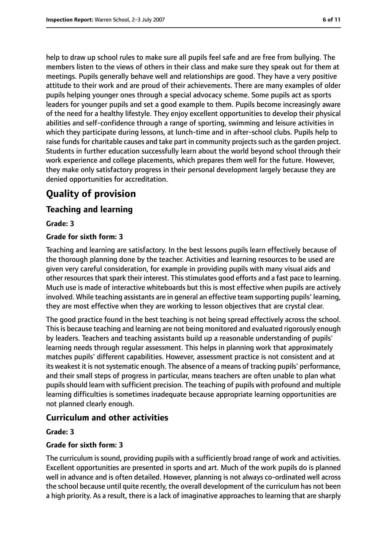help to draw up school rules to make sure all pupils feel safe and are free from bullying. The members listen to the views of others in their class and make sure they speak out for them at meetings. Pupils generally behave well and relationships are good. They have a very positive attitude to their work and are proud of their achievements. There are many examples of older pupils helping younger ones through a special advocacy scheme. Some pupils act as sports leaders for younger pupils and set a good example to them. Pupils become increasingly aware of the need for a healthy lifestyle. They enjoy excellent opportunities to develop their physical abilities and self-confidence through a range of sporting, swimming and leisure activities in which they participate during lessons, at lunch-time and in after-school clubs. Pupils help to raise funds for charitable causes and take part in community projects such as the garden project. Students in further education successfully learn about the world beyond school through their work experience and college placements, which prepares them well for the future. However, they make only satisfactory progress in their personal development largely because they are denied opportunities for accreditation.

# **Quality of provision**

## **Teaching and learning**

**Grade: 3**

#### **Grade for sixth form: 3**

Teaching and learning are satisfactory. In the best lessons pupils learn effectively because of the thorough planning done by the teacher. Activities and learning resources to be used are given very careful consideration, for example in providing pupils with many visual aids and other resources that spark their interest. This stimulates good efforts and a fast pace to learning. Much use is made of interactive whiteboards but this is most effective when pupils are actively involved. While teaching assistants are in general an effective team supporting pupils' learning, they are most effective when they are working to lesson objectives that are crystal clear.

The good practice found in the best teaching is not being spread effectively across the school. Thisis because teaching and learning are not being monitored and evaluated rigorously enough by leaders. Teachers and teaching assistants build up a reasonable understanding of pupils' learning needs through regular assessment. This helps in planning work that approximately matches pupils' different capabilities. However, assessment practice is not consistent and at its weakest it is not systematic enough. The absence of a means of tracking pupils' performance, and their small steps of progress in particular, means teachers are often unable to plan what pupils should learn with sufficient precision. The teaching of pupils with profound and multiple learning difficulties is sometimes inadequate because appropriate learning opportunities are not planned clearly enough.

## **Curriculum and other activities**

#### **Grade: 3**

#### **Grade for sixth form: 3**

The curriculum is sound, providing pupils with a sufficiently broad range of work and activities. Excellent opportunities are presented in sports and art. Much of the work pupils do is planned well in advance and is often detailed. However, planning is not always co-ordinated well across the school because until quite recently, the overall development of the curriculum has not been a high priority. As a result, there is a lack of imaginative approaches to learning that are sharply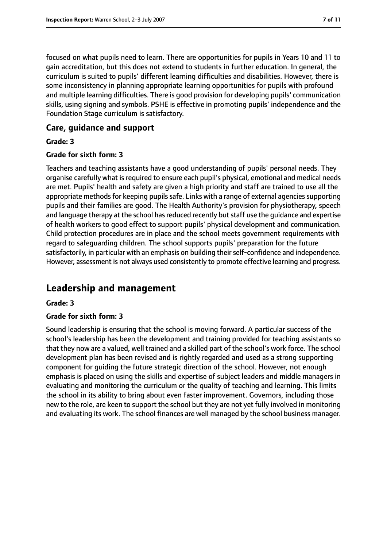focused on what pupils need to learn. There are opportunities for pupils in Years 10 and 11 to gain accreditation, but this does not extend to students in further education. In general, the curriculum is suited to pupils' different learning difficulties and disabilities. However, there is some inconsistency in planning appropriate learning opportunities for pupils with profound and multiple learning difficulties. There is good provision for developing pupils' communication skills, using signing and symbols. PSHE is effective in promoting pupils' independence and the Foundation Stage curriculum is satisfactory.

#### **Care, guidance and support**

**Grade: 3**

#### **Grade for sixth form: 3**

Teachers and teaching assistants have a good understanding of pupils' personal needs. They organise carefully what is required to ensure each pupil's physical, emotional and medical needs are met. Pupils' health and safety are given a high priority and staff are trained to use all the appropriate methods for keeping pupils safe. Links with a range of external agencies supporting pupils and their families are good. The Health Authority's provision for physiotherapy, speech and language therapy at the school has reduced recently but staff use the guidance and expertise of health workers to good effect to support pupils' physical development and communication. Child protection procedures are in place and the school meets government requirements with regard to safeguarding children. The school supports pupils' preparation for the future satisfactorily, in particular with an emphasis on building their self-confidence and independence. However, assessment is not always used consistently to promote effective learning and progress.

# **Leadership and management**

#### **Grade: 3**

#### **Grade for sixth form: 3**

Sound leadership is ensuring that the school is moving forward. A particular success of the school's leadership has been the development and training provided for teaching assistants so that they now are a valued, well trained and a skilled part of the school's work force. The school development plan has been revised and is rightly regarded and used as a strong supporting component for guiding the future strategic direction of the school. However, not enough emphasis is placed on using the skills and expertise of subject leaders and middle managers in evaluating and monitoring the curriculum or the quality of teaching and learning. This limits the school in its ability to bring about even faster improvement. Governors, including those new to the role, are keen to support the school but they are not yet fully involved in monitoring and evaluating its work. The school finances are well managed by the school business manager.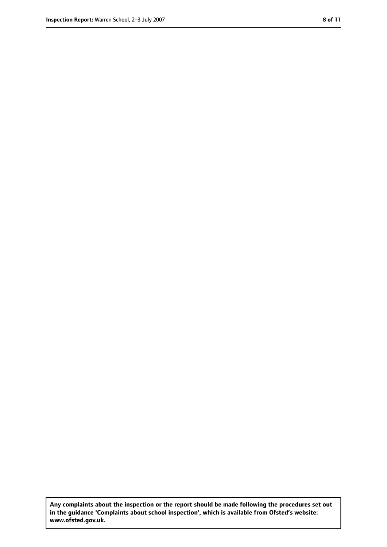**Any complaints about the inspection or the report should be made following the procedures set out in the guidance 'Complaints about school inspection', which is available from Ofsted's website: www.ofsted.gov.uk.**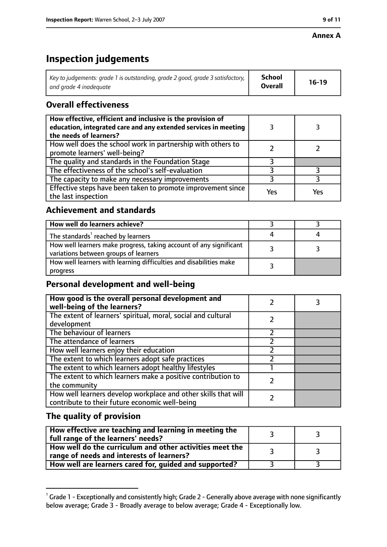# **Inspection judgements**

| Key to judgements: grade 1 is outstanding, grade 2 good, grade 3 satisfactory, $\vert$ | School         | $16-19$ |
|----------------------------------------------------------------------------------------|----------------|---------|
| and grade 4 inadeguate                                                                 | <b>Overall</b> |         |

## **Overall effectiveness**

| How effective, efficient and inclusive is the provision of<br>education, integrated care and any extended services in meeting<br>the needs of learners? |     |     |
|---------------------------------------------------------------------------------------------------------------------------------------------------------|-----|-----|
| How well does the school work in partnership with others to<br>promote learners' well-being?                                                            |     |     |
| The quality and standards in the Foundation Stage                                                                                                       |     |     |
| The effectiveness of the school's self-evaluation                                                                                                       |     |     |
| The capacity to make any necessary improvements                                                                                                         |     |     |
| Effective steps have been taken to promote improvement since<br>the last inspection                                                                     | Yes | Yes |

## **Achievement and standards**

| How well do learners achieve?                                                                               |  |
|-------------------------------------------------------------------------------------------------------------|--|
| The standards <sup>1</sup> reached by learners                                                              |  |
| How well learners make progress, taking account of any significant<br>variations between groups of learners |  |
| How well learners with learning difficulties and disabilities make<br>progress                              |  |

## **Personal development and well-being**

| How good is the overall personal development and<br>well-being of the learners?                                  |  |
|------------------------------------------------------------------------------------------------------------------|--|
| The extent of learners' spiritual, moral, social and cultural<br>development                                     |  |
| The behaviour of learners                                                                                        |  |
| The attendance of learners                                                                                       |  |
| How well learners enjoy their education                                                                          |  |
| The extent to which learners adopt safe practices                                                                |  |
| The extent to which learners adopt healthy lifestyles                                                            |  |
| The extent to which learners make a positive contribution to<br>the community                                    |  |
| How well learners develop workplace and other skills that will<br>contribute to their future economic well-being |  |

## **The quality of provision**

| How effective are teaching and learning in meeting the<br>full range of the learners' needs?          |  |
|-------------------------------------------------------------------------------------------------------|--|
| How well do the curriculum and other activities meet the<br>range of needs and interests of learners? |  |
| How well are learners cared for, guided and supported?                                                |  |

 $^1$  Grade 1 - Exceptionally and consistently high; Grade 2 - Generally above average with none significantly below average; Grade 3 - Broadly average to below average; Grade 4 - Exceptionally low.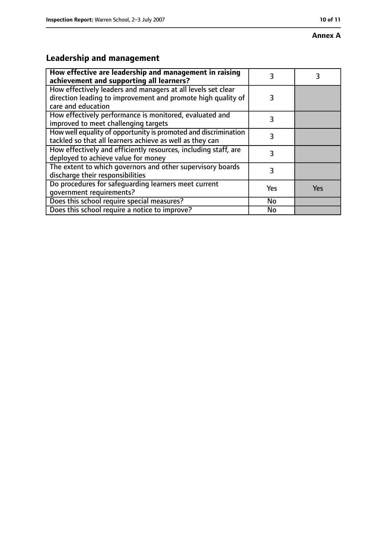#### **Annex A**

# **Leadership and management**

| How effective are leadership and management in raising<br>achievement and supporting all learners?                                                 |     |     |
|----------------------------------------------------------------------------------------------------------------------------------------------------|-----|-----|
| How effectively leaders and managers at all levels set clear<br>direction leading to improvement and promote high quality of<br>care and education | 3   |     |
| How effectively performance is monitored, evaluated and<br>improved to meet challenging targets                                                    | 3   |     |
| How well equality of opportunity is promoted and discrimination<br>tackled so that all learners achieve as well as they can                        | 3   |     |
| How effectively and efficiently resources, including staff, are<br>deployed to achieve value for money                                             | 3   |     |
| The extent to which governors and other supervisory boards<br>discharge their responsibilities                                                     | 3   |     |
| Do procedures for safequarding learners meet current<br>qovernment requirements?                                                                   | Yes | Yes |
| Does this school require special measures?                                                                                                         | No  |     |
| Does this school require a notice to improve?                                                                                                      | No  |     |